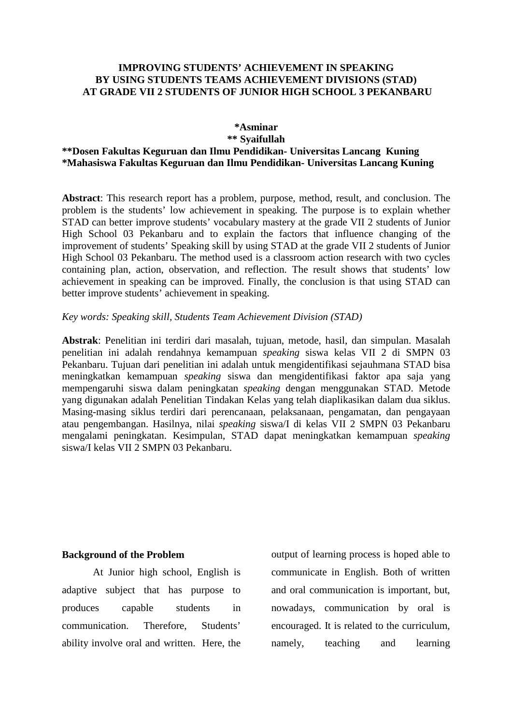#### **IMPROVING STUDENTS' ACHIEVEMENT IN SPEAKING BY USING STUDENTS TEAMS ACHIEVEMENT DIVISIONS (STAD) AT GRADE VII 2 STUDENTS OF JUNIOR HIGH SCHOOL 3 PEKANBARU**

#### **\*Asminar \*\* Syaifullah**

## **\*\*Dosen Fakultas Keguruan dan Ilmu Pendidikan- Universitas Lancang Kuning \*Mahasiswa Fakultas Keguruan dan Ilmu Pendidikan- Universitas Lancang Kuning**

**Abstract**: This research report has a problem, purpose, method, result, and conclusion. The problem is the students' low achievement in speaking. The purpose is to explain whether STAD can better improve students' vocabulary mastery at the grade VII 2 students of Junior High School 03 Pekanbaru and to explain the factors that influence changing of the improvement of students' Speaking skill by using STAD at the grade VII 2 students of Junior High School 03 Pekanbaru. The method used is a classroom action research with two cycles containing plan, action, observation, and reflection. The result shows that students' low achievement in speaking can be improved. Finally, the conclusion is that using STAD can better improve students' achievement in speaking.

#### *Key words: Speaking skill, Students Team Achievement Division (STAD)*

**Abstrak**: Penelitian ini terdiri dari masalah, tujuan, metode, hasil, dan simpulan. Masalah penelitian ini adalah rendahnya kemampuan *speaking* siswa kelas VII 2 di SMPN 03 Pekanbaru. Tujuan dari penelitian ini adalah untuk mengidentifikasi sejauhmana STAD bisa meningkatkan kemampuan *speaking* siswa dan mengidentifikasi faktor apa saja yang mempengaruhi siswa dalam peningkatan *speaking* dengan menggunakan STAD. Metode yang digunakan adalah Penelitian Tindakan Kelas yang telah diaplikasikan dalam dua siklus. Masing-masing siklus terdiri dari perencanaan, pelaksanaan, pengamatan, dan pengayaan atau pengembangan. Hasilnya, nilai *speaking* siswa/I di kelas VII 2 SMPN 03 Pekanbaru mengalami peningkatan. Kesimpulan, STAD dapat meningkatkan kemampuan *speaking* siswa/I kelas VII 2 SMPN 03 Pekanbaru.

#### **Background of the Problem**

At Junior high school, English is adaptive subject that has purpose to produces capable students in communication. Therefore, Students' ability involve oral and written. Here, the output of learning process is hoped able to communicate in English. Both of written and oral communication is important, but, nowadays, communication by oral is encouraged. It is related to the curriculum, namely, teaching and learning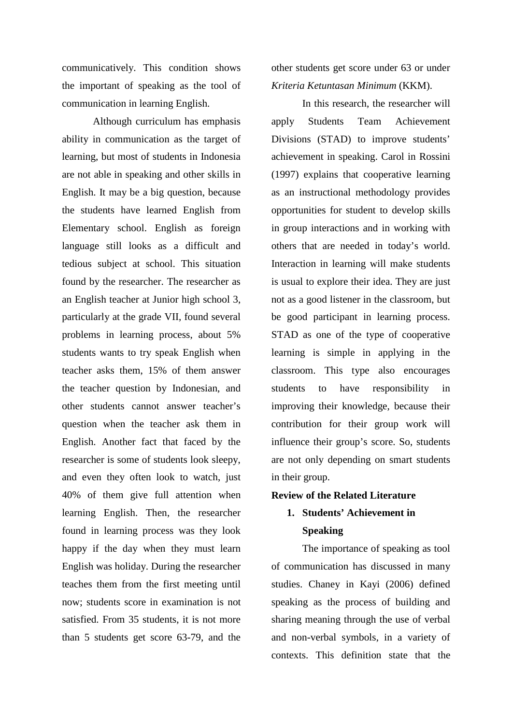communicatively. This condition shows the important of speaking as the tool of communication in learning English.

Although curriculum has emphasis ability in communication as the target of learning, but most of students in Indonesia are not able in speaking and other skills in English. It may be a big question, because the students have learned English from Elementary school. English as foreign language still looks as a difficult and tedious subject at school. This situation found by the researcher. The researcher as an English teacher at Junior high school 3, particularly at the grade VII, found several problems in learning process, about 5% students wants to try speak English when teacher asks them, 15% of them answer the teacher question by Indonesian, and other students cannot answer teacher's question when the teacher ask them in English. Another fact that faced by the researcher is some of students look sleepy, and even they often look to watch, just 40% of them give full attention when learning English. Then, the researcher found in learning process was they look happy if the day when they must learn English was holiday. During the researcher teaches them from the first meeting until now; students score in examination is not satisfied. From 35 students, it is not more than 5 students get score 63-79, and the

other students get score under 63 or under *Kriteria Ketuntasan Minimum* (KKM).

In this research, the researcher will apply Students Team Achievement Divisions (STAD) to improve students' achievement in speaking. Carol in Rossini (1997) explains that cooperative learning as an instructional methodology provides opportunities for student to develop skills in group interactions and in working with others that are needed in today's world. Interaction in learning will make students is usual to explore their idea. They are just not as a good listener in the classroom, but be good participant in learning process. STAD as one of the type of cooperative learning is simple in applying in the classroom. This type also encourages students to have responsibility in improving their knowledge, because their contribution for their group work will influence their group's score. So, students are not only depending on smart students in their group.

#### **Review of the Related Literature**

# **1. Students' Achievement in Speaking**

The importance of speaking as tool of communication has discussed in many studies. Chaney in Kayi (2006) defined speaking as the process of building and sharing meaning through the use of verbal and non-verbal symbols, in a variety of contexts. This definition state that the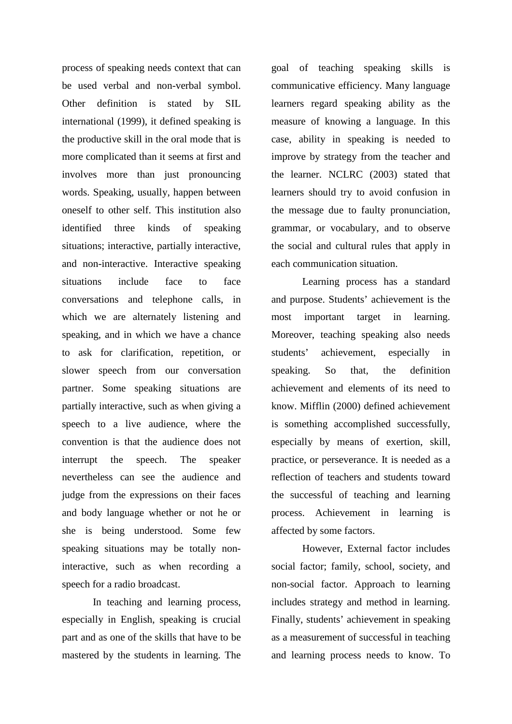process of speaking needs context that can be used verbal and non-verbal symbol. Other definition is stated by SIL international (1999), it defined speaking is the productive skill in the oral mode that is more complicated than it seems at first and involves more than just pronouncing words. Speaking, usually, happen between oneself to other self. This institution also identified three kinds of speaking situations; interactive, partially interactive, and non-interactive. Interactive speaking situations include face to face conversations and telephone calls, in which we are alternately listening and speaking, and in which we have a chance to ask for clarification, repetition, or slower speech from our conversation partner. Some speaking situations are partially interactive, such as when giving a speech to a live audience, where the convention is that the audience does not interrupt the speech. The speaker nevertheless can see the audience and judge from the expressions on their faces and body language whether or not he or she is being understood. Some few speaking situations may be totally noninteractive, such as when recording a speech for a radio broadcast.

In teaching and learning process, especially in English, speaking is crucial part and as one of the skills that have to be mastered by the students in learning. The goal of teaching speaking skills is communicative efficiency. Many language learners regard speaking ability as the measure of knowing a language. In this case, ability in speaking is needed to improve by strategy from the teacher and the learner. NCLRC (2003) stated that learners should try to avoid confusion in the message due to faulty pronunciation, grammar, or vocabulary, and to observe the social and cultural rules that apply in each communication situation.

Learning process has a standard and purpose. Students' achievement is the most important target in learning. Moreover, teaching speaking also needs students' achievement, especially in speaking. So that, the definition achievement and elements of its need to know. Mifflin (2000) defined achievement is something accomplished successfully, especially by means of exertion, skill, practice, or perseverance. It is needed as a reflection of teachers and students toward the successful of teaching and learning process. Achievement in learning is affected by some factors.

However, External factor includes social factor; family, school, society, and non-social factor. Approach to learning includes strategy and method in learning. Finally, students' achievement in speaking as a measurement of successful in teaching and learning process needs to know. To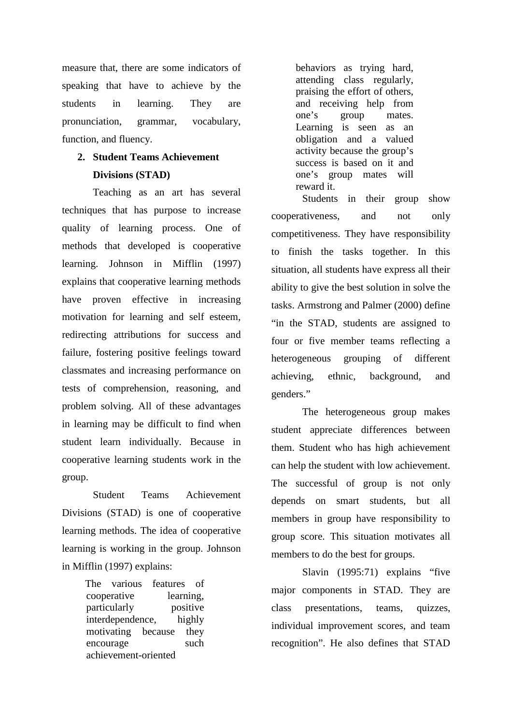measure that, there are some indicators of speaking that have to achieve by the students in learning. They are pronunciation, grammar, vocabulary, function, and fluency.

## **2. Student Teams Achievement Divisions (STAD)**

Teaching as an art has several techniques that has purpose to increase quality of learning process. One of methods that developed is cooperative learning. Johnson in Mifflin (1997) explains that cooperative learning methods have proven effective in increasing motivation for learning and self esteem, redirecting attributions for success and failure, fostering positive feelings toward classmates and increasing performance on tests of comprehension, reasoning, and problem solving. All of these advantages in learning may be difficult to find when student learn individually. Because in cooperative learning students work in the group.

Student Teams Achievement Divisions (STAD) is one of cooperative learning methods. The idea of cooperative learning is working in the group. Johnson in Mifflin (1997) explains:

> The various features of cooperative learning, particularly positive interdependence, highly motivating because they encourage such achievement-oriented

behaviors as trying hard, attending class regularly, praising the effort of others, and receiving help from one's group mates. Learning is seen as an obligation and a valued activity because the group's success is based on it and one's group mates will reward it.

Students in their group show cooperativeness, and not only competitiveness. They have responsibility to finish the tasks together. In this situation, all students have express all their ability to give the best solution in solve the tasks. Armstrong and Palmer (2000) define "in the STAD, students are assigned to four or five member teams reflecting a heterogeneous grouping of different achieving, ethnic, background, and genders."

The heterogeneous group makes student appreciate differences between them. Student who has high achievement can help the student with low achievement. The successful of group is not only depends on smart students, but all members in group have responsibility to group score. This situation motivates all members to do the best for groups.

Slavin (1995:71) explains "five major components in STAD. They are class presentations, teams, quizzes, individual improvement scores, and team recognition". He also defines that STAD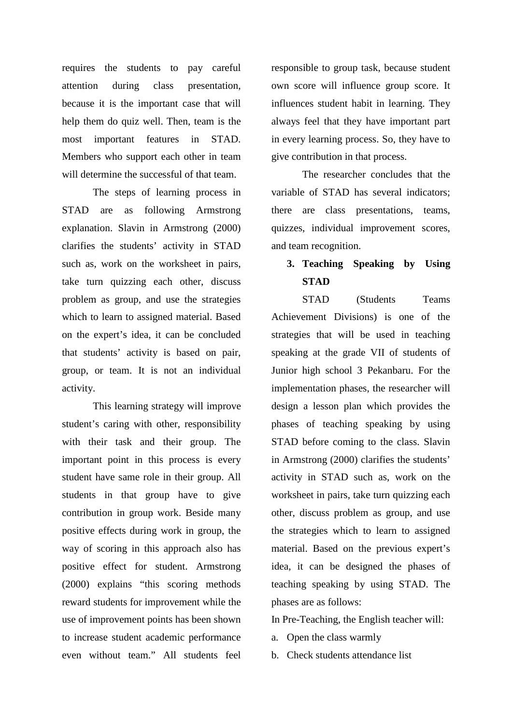requires the students to pay careful attention during class presentation, because it is the important case that will help them do quiz well. Then, team is the most important features in STAD. Members who support each other in team will determine the successful of that team.

The steps of learning process in STAD are as following Armstrong explanation. Slavin in Armstrong (2000) clarifies the students' activity in STAD such as, work on the worksheet in pairs, take turn quizzing each other, discuss problem as group, and use the strategies which to learn to assigned material. Based on the expert's idea, it can be concluded that students' activity is based on pair, group, or team. It is not an individual activity.

This learning strategy will improve student's caring with other, responsibility with their task and their group. The important point in this process is every student have same role in their group. All students in that group have to give contribution in group work. Beside many positive effects during work in group, the way of scoring in this approach also has positive effect for student. Armstrong (2000) explains "this scoring methods reward students for improvement while the use of improvement points has been shown to increase student academic performance even without team." All students feel

responsible to group task, because student own score will influence group score. It influences student habit in learning. They always feel that they have important part in every learning process. So, they have to give contribution in that process.

The researcher concludes that the variable of STAD has several indicators; there are class presentations, teams, quizzes, individual improvement scores, and team recognition.

# **3. Teaching Speaking by Using STAD**

STAD (Students Teams Achievement Divisions) is one of the strategies that will be used in teaching speaking at the grade VII of students of Junior high school 3 Pekanbaru. For the implementation phases, the researcher will design a lesson plan which provides the phases of teaching speaking by using STAD before coming to the class. Slavin in Armstrong (2000) clarifies the students' activity in STAD such as, work on the worksheet in pairs, take turn quizzing each other, discuss problem as group, and use the strategies which to learn to assigned material. Based on the previous expert's idea, it can be designed the phases of teaching speaking by using STAD. The phases are as follows:

In Pre-Teaching, the English teacher will:

- a. Open the class warmly
- b. Check students attendance list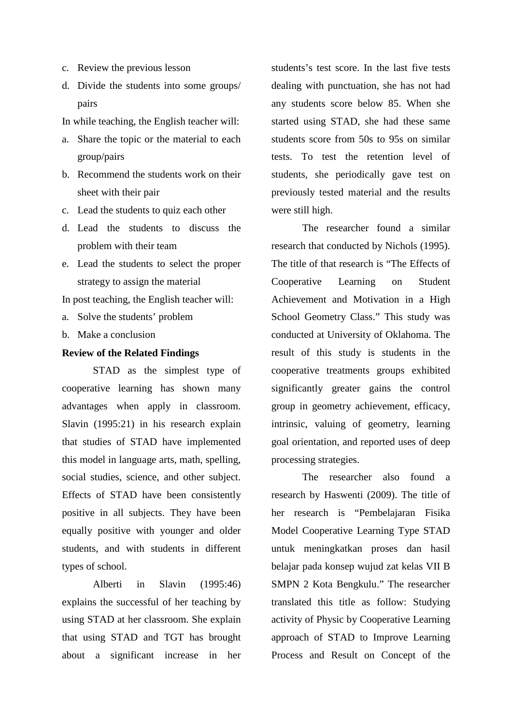- c. Review the previous lesson
- d. Divide the students into some groups/ pairs

In while teaching, the English teacher will:

- a. Share the topic or the material to each group/pairs
- b. Recommend the students work on their sheet with their pair
- c. Lead the students to quiz each other
- d. Lead the students to discuss the problem with their team
- e. Lead the students to select the proper strategy to assign the material

In post teaching, the English teacher will:

- a. Solve the students' problem
- b. Make a conclusion

#### **Review of the Related Findings**

STAD as the simplest type of cooperative learning has shown many advantages when apply in classroom. Slavin (1995:21) in his research explain that studies of STAD have implemented this model in language arts, math, spelling, social studies, science, and other subject. Effects of STAD have been consistently positive in all subjects. They have been equally positive with younger and older students, and with students in different types of school.

Alberti in Slavin (1995:46) explains the successful of her teaching by using STAD at her classroom. She explain that using STAD and TGT has brought about a significant increase in her

students's test score. In the last five tests dealing with punctuation, she has not had any students score below 85. When she started using STAD, she had these same students score from 50s to 95s on similar tests. To test the retention level of students, she periodically gave test on previously tested material and the results were still high.

The researcher found a similar research that conducted by Nichols (1995). The title of that research is "The Effects of Cooperative Learning on Student Achievement and Motivation in a High School Geometry Class." This study was conducted at University of Oklahoma. The result of this study is students in the cooperative treatments groups exhibited significantly greater gains the control group in geometry achievement, efficacy, intrinsic, valuing of geometry, learning goal orientation, and reported uses of deep processing strategies.

The researcher also found a research by Haswenti (2009). The title of her research is "Pembelajaran Fisika Model Cooperative Learning Type STAD untuk meningkatkan proses dan hasil belajar pada konsep wujud zat kelas VII B SMPN 2 Kota Bengkulu." The researcher translated this title as follow: Studying activity of Physic by Cooperative Learning approach of STAD to Improve Learning Process and Result on Concept of the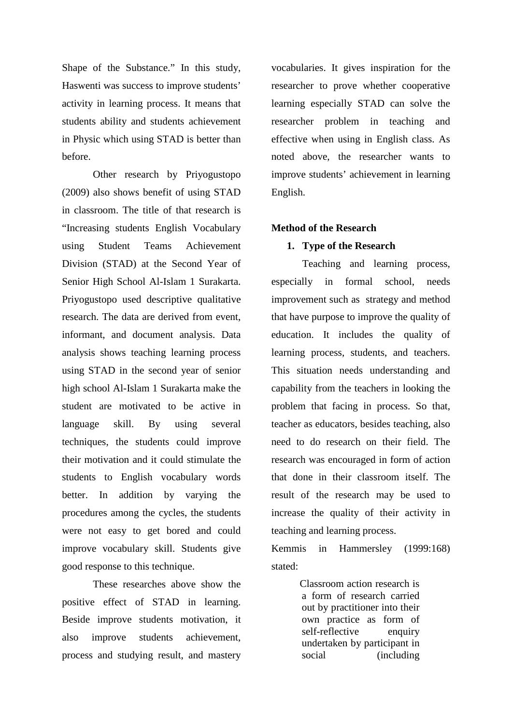Shape of the Substance." In this study, Haswenti was success to improve students' activity in learning process. It means that students ability and students achievement in Physic which using STAD is better than before.

Other research by Priyogustopo (2009) also shows benefit of using STAD in classroom. The title of that research is "Increasing students English Vocabulary using Student Teams Achievement Division (STAD) at the Second Year of Senior High School Al-Islam 1 Surakarta. Priyogustopo used descriptive qualitative research. The data are derived from event, informant, and document analysis. Data analysis shows teaching learning process using STAD in the second year of senior high school Al-Islam 1 Surakarta make the student are motivated to be active in language skill. By using several techniques, the students could improve their motivation and it could stimulate the students to English vocabulary words better. In addition by varying the procedures among the cycles, the students were not easy to get bored and could improve vocabulary skill. Students give good response to this technique.

These researches above show the positive effect of STAD in learning. Beside improve students motivation, it also improve students achievement, process and studying result, and mastery vocabularies. It gives inspiration for the researcher to prove whether cooperative learning especially STAD can solve the researcher problem in teaching and effective when using in English class. As noted above, the researcher wants to improve students' achievement in learning English.

#### **Method of the Research**

#### **1. Type of the Research**

Teaching and learning process, especially in formal school, needs improvement such as strategy and method that have purpose to improve the quality of education. It includes the quality of learning process, students, and teachers. This situation needs understanding and capability from the teachers in looking the problem that facing in process. So that, teacher as educators, besides teaching, also need to do research on their field. The research was encouraged in form of action that done in their classroom itself. The result of the research may be used to increase the quality of their activity in teaching and learning process.

Kemmis in Hammersley (1999:168) stated:

> Classroom action research is a form of research carried out by practitioner into their own practice as form of self-reflective enquiry undertaken by participant in social (including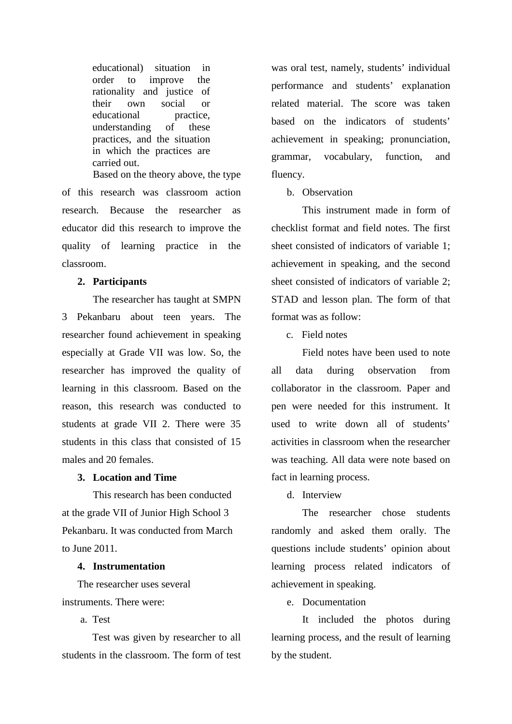educational) situation in order to improve the rationality and justice of their own social or educational practice,<br>understanding of these understanding of these practices, and the situation in which the practices are carried out.

Based on the theory above, the type of this research was classroom action research. Because the researcher as educator did this research to improve the quality of learning practice in the classroom.

#### **2. Participants**

The researcher has taught at SMPN 3 Pekanbaru about teen years. The researcher found achievement in speaking especially at Grade VII was low. So, the researcher has improved the quality of learning in this classroom. Based on the reason, this research was conducted to students at grade VII 2. There were 35 students in this class that consisted of 15 males and 20 females.

#### **3. Location and Time**

This research has been conducted at the grade VII of Junior High School 3 Pekanbaru. It was conducted from March to June 2011.

#### **4. Instrumentation**

The researcher uses several instruments. There were:

a. Test

Test was given by researcher to all students in the classroom. The form of test was oral test, namely, students' individual performance and students' explanation related material. The score was taken based on the indicators of students' achievement in speaking; pronunciation, grammar, vocabulary, function, and fluency.

#### b. Observation

This instrument made in form of checklist format and field notes. The first sheet consisted of indicators of variable 1; achievement in speaking, and the second sheet consisted of indicators of variable 2; STAD and lesson plan. The form of that format was as follow:

c. Field notes

Field notes have been used to note all data during observation from collaborator in the classroom. Paper and pen were needed for this instrument. It used to write down all of students' activities in classroom when the researcher was teaching. All data were note based on fact in learning process.

d. Interview

The researcher chose students randomly and asked them orally. The questions include students' opinion about learning process related indicators of achievement in speaking.

e. Documentation

It included the photos during learning process, and the result of learning by the student.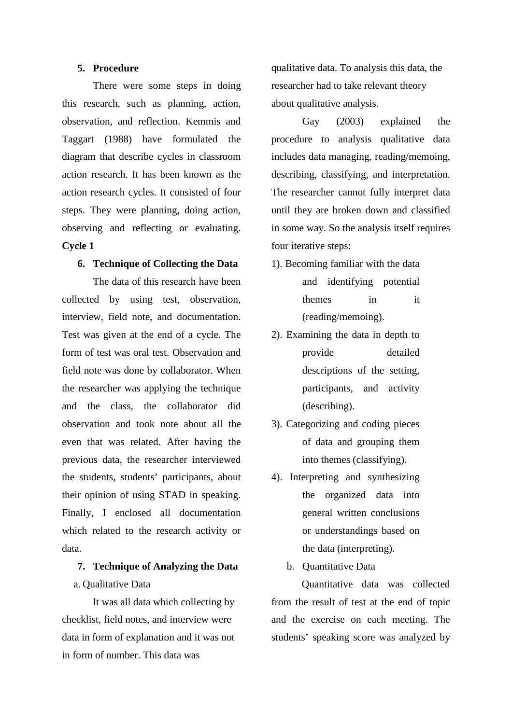#### **5. Procedure**

There were some steps in doing this research, such as planning, action, observation, and reflection. Kemmis and Taggart (1988) have formulated the diagram that describe cycles in classroom action research. It has been known as the action research cycles. It consisted of four steps. They were planning, doing action, observing and reflecting or evaluating. **Cycle 1**

#### **6. Technique of Collecting the Data**

The data of this research have been collected by using test, observation, interview, field note, and documentation. Test was given at the end of a cycle. The form of test was oral test. Observation and field note was done by collaborator. When the researcher was applying the technique and the class, the collaborator did observation and took note about all the even that was related. After having the previous data, the researcher interviewed the students, students' participants, about their opinion of using STAD in speaking. Finally, I enclosed all documentation which related to the research activity or data.

# **7. Technique of Analyzing the Data** a. Qualitative Data

It was all data which collecting by checklist, field notes, and interview were data in form of explanation and it was not in form of number. This data was

qualitative data. To analysis this data, the researcher had to take relevant theory about qualitative analysis.

Gay (2003) explained the procedure to analysis qualitative data includes data managing, reading/memoing, describing, classifying, and interpretation. The researcher cannot fully interpret data until they are broken down and classified in some way. So the analysis itself requires four iterative steps:

- 1). Becoming familiar with the data and identifying potential themes in it (reading/memoing).
- 2). Examining the data in depth to provide detailed descriptions of the setting, participants, and activity (describing).
- 3). Categorizing and coding pieces of data and grouping them into themes (classifying).
- 4). Interpreting and synthesizing the organized data into general written conclusions or understandings based on the data (interpreting).
	- b. Quantitative Data

Quantitative data was collected from the result of test at the end of topic and the exercise on each meeting. The students' speaking score was analyzed by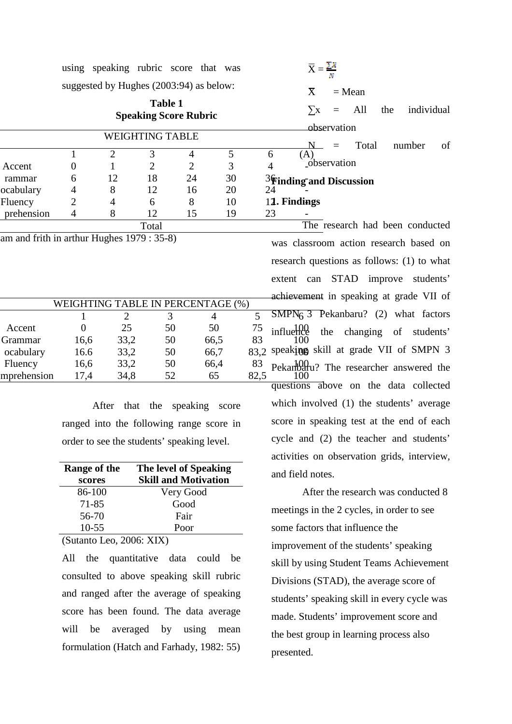| using speaking rubric score that was<br>suggested by Hughes (2003:94) as below:<br><b>EX</b> = Mean<br><b>EX</b> = Mean<br><b>EX</b> = Mean<br><b>EX</b> = Mean<br><b>EX</b> = Mean<br><b>EX</b> = All the individual<br><b>EX</b> = All the individual<br><b>EX</b> = All the individu |  |
|-----------------------------------------------------------------------------------------------------------------------------------------------------------------------------------------------------------------------------------------------------------------------------------------|--|
|                                                                                                                                                                                                                                                                                         |  |
| $-$ observation                                                                                                                                                                                                                                                                         |  |
| rammar 6 12<br>ocabulary 4 8<br>Fluency 2 4                                                                                                                                                                                                                                             |  |
| Fluency<br>prehension 4 8 12 15 19 23 -<br>Total Total The res                                                                                                                                                                                                                          |  |
|                                                                                                                                                                                                                                                                                         |  |
|                                                                                                                                                                                                                                                                                         |  |
|                                                                                                                                                                                                                                                                                         |  |
|                                                                                                                                                                                                                                                                                         |  |
| $\frac{dI}{dS}$<br>$\frac{13}{19}$<br>$\frac{19}{23}$<br>The research had been conducted<br>was classroom action research based on<br>research questions as follows: (1) to what<br>extent can STAD improve students'<br>WEIGHTING TABLE IN PERCENTAGE                                  |  |
| $\frac{72 \text{ EN I AUE (96)}}{4}$<br>$\frac{75}{66,5}$ $\frac{75}{83}$ influence the changing of students'<br>66,5 83 100<br>66,7 83,2 speaking skill at grade VII of SMPN 3<br>Accent 0 25 50 50 75 influ                                                                           |  |

After that the speaking score ranged into the following range score in order to see the students' speaking level.

| Range of the | The level of Speaking       |
|--------------|-----------------------------|
| scores       | <b>Skill and Motivation</b> |
| 86-100       | Very Good                   |
| 71-85        | Good                        |
| 56-70        | Fair                        |
| $10-55$      | Poor                        |

(Sutanto Leo, 2006: XIX)

All the quantitative data could be consulted to above speaking skill rubric and ranged after the average of speaking score has been found. The data average will be averaged by using mean formulation (Hatch and Farhady, 1982: 55)

$$
\overline{X} = \frac{\sum x}{N}
$$
  

$$
X = \text{Mean}
$$

# **Finding and Discussion**

influence Fluency  $16.6$   $33.2$   $50$   $66.4$   $83$   $Pekanb99$  Pekanbaru? The researcher answered the mprehension 17,4 34,8 52 65 82,5 100 The research had been conducted was classroom action research based on research questions as follows: (1) to what extent can STAD improve students' achievement in speaking at grade VII of Ince the changing of students'<br>100 speaking skill at grade VII of SMPN 3

questions above on the data collected which involved (1) the students' average score in speaking test at the end of each cycle and (2) the teacher and students' activities on observation grids, interview, and field notes.

After the research was conducted 8 meetings in the 2 cycles, in order to see some factors that influence the improvement of the students' speaking skill by using Student Teams Achievement Divisions (STAD), the average score of students' speaking skill in every cycle was made. Students' improvement score and the best group in learning process also presented.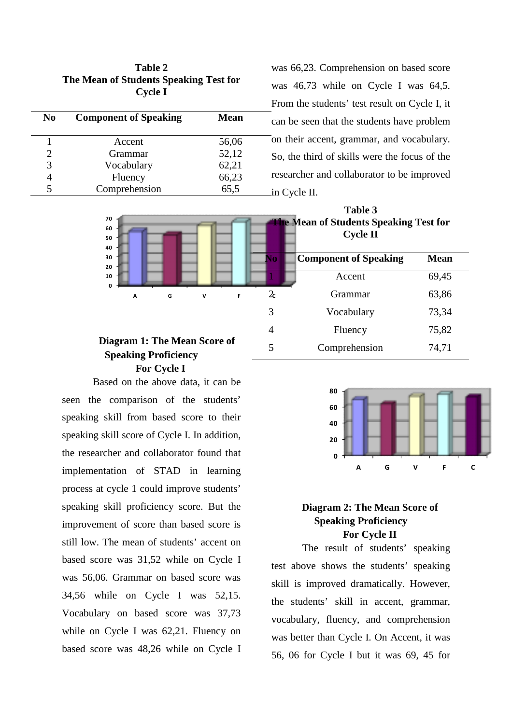| Table 2                                |  |
|----------------------------------------|--|
| The Mean of Students Speaking Test for |  |
| <b>Cycle I</b>                         |  |

| N <sub>0</sub>        | <b>Component of Speaking</b> | <b>Mean</b> |
|-----------------------|------------------------------|-------------|
|                       | Accent                       | 56,06       |
| $\mathcal{D}_{\cdot}$ | Grammar                      | 52,12       |
| 3                     | Vocabulary                   | 62,21       |
|                       | Fluency                      | 66,23       |
|                       | Comprehension                | 65,5        |

was 66,23. Comprehension on based score was 46,73 while on Cycle I was 64,5. From the students' test result on Cycle I, it can be seen that the students have problem on their accent, grammar, and vocabulary. So, the third of skills were the focus of the researcher and collaborator to be improved in Cycle II.



# **Speaking Proficiency For Cycle I**

Based on the above data, it can be seen the comparison of the students' speaking skill from based score to their speaking skill score of Cycle I. In addition, the researcher and collaborator found that implementation of STAD in learning process at cycle 1 could improve students' speaking skill proficiency score. But the improvement of score than based score is still low. The mean of students' accent on based score was 31,52 while on Cycle I was 56,06. Grammar on based score was 34,56 while on Cycle I was 52,15. Vocabulary on based score was 37,73 while on Cycle I was 62,21. Fluency on based score was 48,26 while on Cycle I



### **Diagram 2: The Mean Score of Speaking Proficiency For Cycle II**

The result of students' speaking test above shows the students' speaking skill is improved dramatically. However, the students' skill in accent, grammar, vocabulary, fluency, and comprehension was better than Cycle I. On Accent, it was 56, 06 for Cycle I but it was 69, 45 for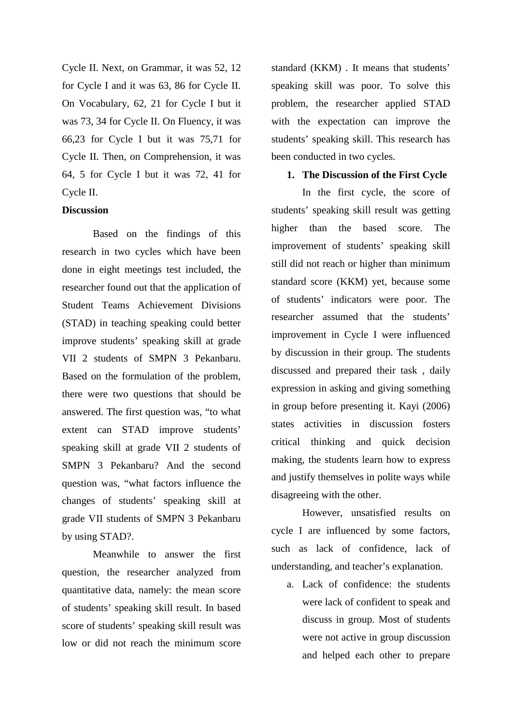Cycle II. Next, on Grammar, it was 52, 12 for Cycle I and it was 63, 86 for Cycle II. On Vocabulary, 62, 21 for Cycle I but it was 73, 34 for Cycle II. On Fluency, it was 66,23 for Cycle I but it was 75,71 for Cycle II. Then, on Comprehension, it was 64, 5 for Cycle I but it was 72, 41 for Cycle II.

#### **Discussion**

Based on the findings of this research in two cycles which have been done in eight meetings test included, the researcher found out that the application of Student Teams Achievement Divisions (STAD) in teaching speaking could better improve students' speaking skill at grade VII 2 students of SMPN 3 Pekanbaru. Based on the formulation of the problem, there were two questions that should be answered. The first question was, "to what extent can STAD improve students' speaking skill at grade VII 2 students of SMPN 3 Pekanbaru? And the second question was, "what factors influence the changes of students' speaking skill at grade VII students of SMPN 3 Pekanbaru by using STAD?.

Meanwhile to answer the first question, the researcher analyzed from quantitative data, namely: the mean score of students' speaking skill result. In based score of students' speaking skill result was low or did not reach the minimum score

standard (KKM) . It means that students' speaking skill was poor. To solve this problem, the researcher applied STAD with the expectation can improve the students' speaking skill. This research has been conducted in two cycles.

#### **1. The Discussion of the First Cycle**

In the first cycle, the score of students' speaking skill result was getting higher than the based score. The improvement of students' speaking skill still did not reach or higher than minimum standard score (KKM) yet, because some of students' indicators were poor. The researcher assumed that the students' improvement in Cycle I were influenced by discussion in their group. The students discussed and prepared their task , daily expression in asking and giving something in group before presenting it. Kayi (2006) states activities in discussion fosters critical thinking and quick decision making, the students learn how to express and justify themselves in polite ways while disagreeing with the other.

However, unsatisfied results on cycle I are influenced by some factors, such as lack of confidence, lack of understanding, and teacher's explanation.

a. Lack of confidence: the students were lack of confident to speak and discuss in group. Most of students were not active in group discussion and helped each other to prepare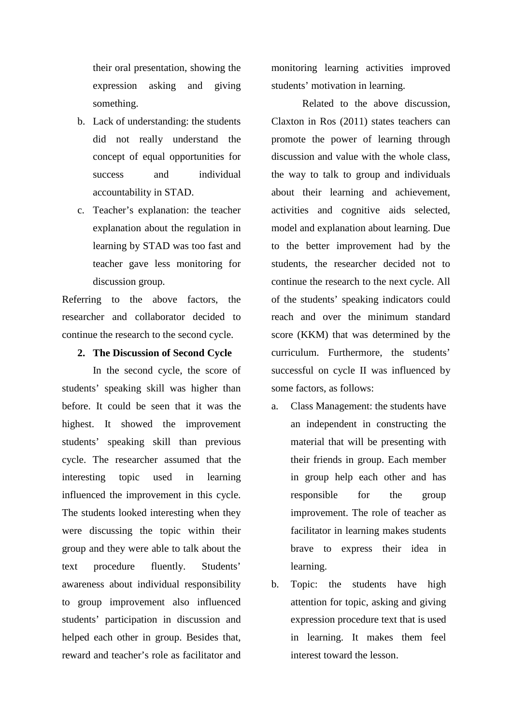their oral presentation, showing the expression asking and giving something.

- b. Lack of understanding: the students did not really understand the concept of equal opportunities for success and individual accountability in STAD.
- c. Teacher's explanation: the teacher explanation about the regulation in learning by STAD was too fast and teacher gave less monitoring for discussion group.

Referring to the above factors, the researcher and collaborator decided to continue the research to the second cycle.

#### **2. The Discussion of Second Cycle**

In the second cycle, the score of students' speaking skill was higher than before. It could be seen that it was the highest. It showed the improvement students' speaking skill than previous cycle. The researcher assumed that the interesting topic used in learning influenced the improvement in this cycle. The students looked interesting when they were discussing the topic within their group and they were able to talk about the text procedure fluently. Students' awareness about individual responsibility to group improvement also influenced students' participation in discussion and helped each other in group. Besides that, reward and teacher's role as facilitator and

monitoring learning activities improved students' motivation in learning.

Related to the above discussion, Claxton in Ros (2011) states teachers can promote the power of learning through discussion and value with the whole class, the way to talk to group and individuals about their learning and achievement, activities and cognitive aids selected, model and explanation about learning. Due to the better improvement had by the students, the researcher decided not to continue the research to the next cycle. All of the students' speaking indicators could reach and over the minimum standard score (KKM) that was determined by the curriculum. Furthermore, the students' successful on cycle II was influenced by some factors, as follows:

- a. Class Management: the students have an independent in constructing the material that will be presenting with their friends in group. Each member in group help each other and has responsible for the group improvement. The role of teacher as facilitator in learning makes students brave to express their idea in learning.
- b. Topic: the students have high attention for topic, asking and giving expression procedure text that is used in learning. It makes them feel interest toward the lesson.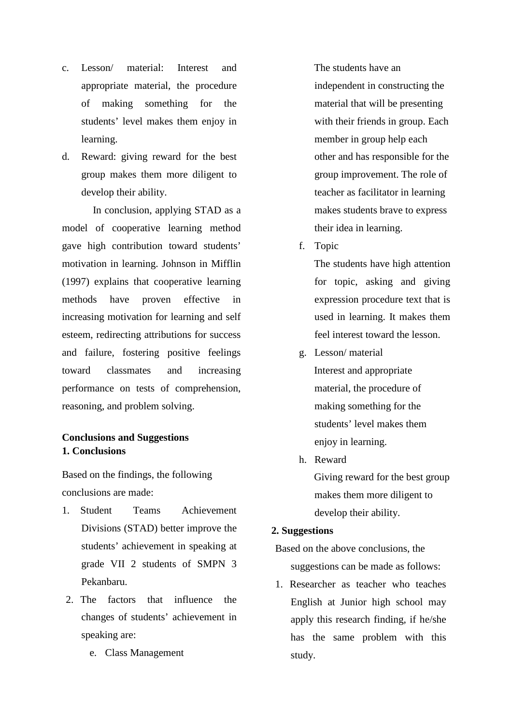- c. Lesson/ material: Interest and appropriate material, the procedure of making something for the students' level makes them enjoy in learning.
- d. Reward: giving reward for the best group makes them more diligent to develop their ability.

In conclusion, applying STAD as a model of cooperative learning method gave high contribution toward students' motivation in learning. Johnson in Mifflin (1997) explains that cooperative learning methods have proven effective in increasing motivation for learning and self esteem, redirecting attributions for success and failure, fostering positive feelings toward classmates and increasing performance on tests of comprehension, reasoning, and problem solving.

### **Conclusions and Suggestions 1. Conclusions**

Based on the findings, the following conclusions are made:

- 1. Student Teams Achievement Divisions (STAD) better improve the students' achievement in speaking at grade VII 2 students of SMPN 3 Pekanbaru.
- 2. The factors that influence the changes of students' achievement in speaking are:
	- e. Class Management

The students have an independent in constructing the material that will be presenting with their friends in group. Each member in group help each other and has responsible for the group improvement. The role of teacher as facilitator in learning makes students brave to express their idea in learning.

f. Topic

The students have high attention for topic, asking and giving expression procedure text that is used in learning. It makes them feel interest toward the lesson.

g. Lesson/ material

Interest and appropriate material, the procedure of making something for the students' level makes them enjoy in learning.

h. Reward Giving reward for the best group makes them more diligent to develop their ability.

#### **2. Suggestions**

Based on the above conclusions, the suggestions can be made as follows:

1. Researcher as teacher who teaches English at Junior high school may apply this research finding, if he/she has the same problem with this study.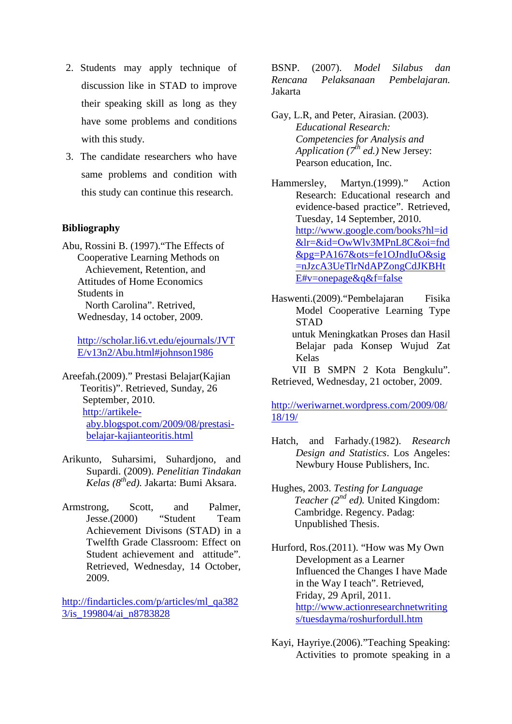- 2. Students may apply technique of discussion like in STAD to improve their speaking skill as long as they have some problems and conditions with this study.
- 3. The candidate researchers who have same problems and condition with this study can continue this research.

#### **Bibliography**

Abu, Rossini B. (1997)."The Effects of Cooperative Learning Methods on Achievement, Retention, and Attitudes of Home Economics Students in North Carolina". Retrived, Wednesday, 14 october, 2009.

http://scholar.li6.vt.edu/ejournals/JVT E/v13n2/Abu.html#johnson1986

Areefah.(2009)." Prestasi Belajar(Kajian Teoritis)". Retrieved, Sunday, 26 September, 2010. http://artikeleaby.blogspot.com/2009/08/prestasibelajar-kajianteoritis.html

- Arikunto, Suharsimi, Suhardjono, and Supardi. (2009). *Penelitian Tindakan Kelas (8thed).* Jakarta: Bumi Aksara.
- Armstrong, Scott, and Palmer, Jesse.(2000) "Student Team Achievement Divisons (STAD) in a Twelfth Grade Classroom: Effect on Student achievement and attitude". Retrieved, Wednesday, 14 October, 2009.

http://findarticles.com/p/articles/ml\_qa382 3/is\_199804/ai\_n8783828

BSNP. (2007). *Model Silabus dan Rencana Pelaksanaan Pembelajaran.* Jakarta

Gay, L.R, and Peter, Airasian. (2003). *Educational Research: Competencies for Analysis and Application (7th ed.)* New Jersey: Pearson education, Inc.

Hammersley, Martyn.(1999)." Action Research: Educational research and evidence-based practice". Retrieved, Tuesday, 14 September, 2010. http://www.google.com/books?hl=id &lr=&id=OwWlv3MPnL8C&oi=fnd &pg=PA167&ots=fe1OJndIuO&sig =nJzcA3UeTlrNdAPZongCdJKBHt E#v=onepage&q&f=false

Haswenti.(2009)."Pembelajaran Fisika Model Cooperative Learning Type STAD untuk Meningkatkan Proses dan Hasil Belajar pada Konsep Wujud Zat Kelas VII B SMPN 2 Kota Bengkulu". Retrieved, Wednesday, 21 october, 2009.

http://weriwarnet.wordpress.com/2009/08/ 18/19/

- Hatch, and Farhady.(1982). *Research Design and Statistics*. Los Angeles: Newbury House Publishers, Inc.
- Hughes, 2003. *Testing for Language Teacher*  $(2^{nd}$  *ed*). United Kingdom: Cambridge. Regency. Padag: Unpublished Thesis.
- Hurford, Ros.(2011). "How was My Own Development as a Learner Influenced the Changes I have Made in the Way I teach". Retrieved, Friday, 29 April, 2011. http://www.actionresearchnetwriting s/tuesdayma/roshurfordull.htm
- Kayi, Hayriye.(2006)."Teaching Speaking: Activities to promote speaking in a